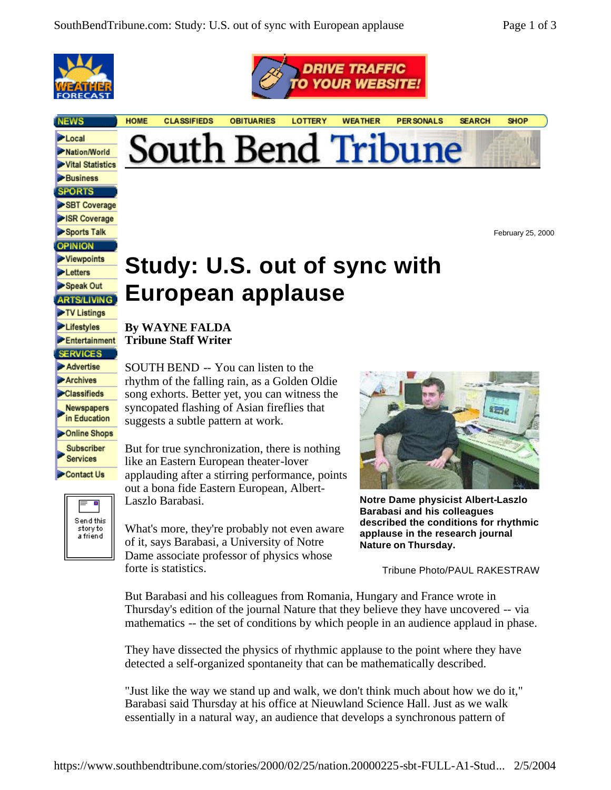

**NEWS** 

Local

**Business SPORTS** SBT Coverage SR Coverage Sports Talk **OPINION** Viewpoints **Letters** Speak Out **ARTS/LIVING** TV Listings Lifestyles Entertainment **SERVICES** Advertise Archives Classifieds Newspapers in Education Online Shops **Subscriber Services** Contact Us

> Send this story to<br>a friend



**DRIVE TRAFFIC** *OUR WEBSITE* 

February 25, 2000

## **Study: U.S. out of sync with European applause**

**By WAYNE FALDA Tribune Staff Writer**

SOUTH BEND -- You can listen to the rhythm of the falling rain, as a Golden Oldie song exhorts. Better yet, you can witness the syncopated flashing of Asian fireflies that suggests a subtle pattern at work.

But for true synchronization, there is nothing like an Eastern European theater-lover applauding after a stirring performance, points out a bona fide Eastern European, Albert-Laszlo Barabasi.

What's more, they're probably not even aware of it, says Barabasi, a University of Notre Dame associate professor of physics whose forte is statistics.



**Notre Dame physicist Albert-Laszlo Barabasi and his colleagues described the conditions for rhythmic applause in the research journal Nature on Thursday.**

Tribune Photo/PAUL RAKESTRAW

But Barabasi and his colleagues from Romania, Hungary and France wrote in Thursday's edition of the journal Nature that they believe they have uncovered -- via mathematics -- the set of conditions by which people in an audience applaud in phase.

They have dissected the physics of rhythmic applause to the point where they have detected a self-organized spontaneity that can be mathematically described.

"Just like the way we stand up and walk, we don't think much about how we do it," Barabasi said Thursday at his office at Nieuwland Science Hall. Just as we walk essentially in a natural way, an audience that develops a synchronous pattern of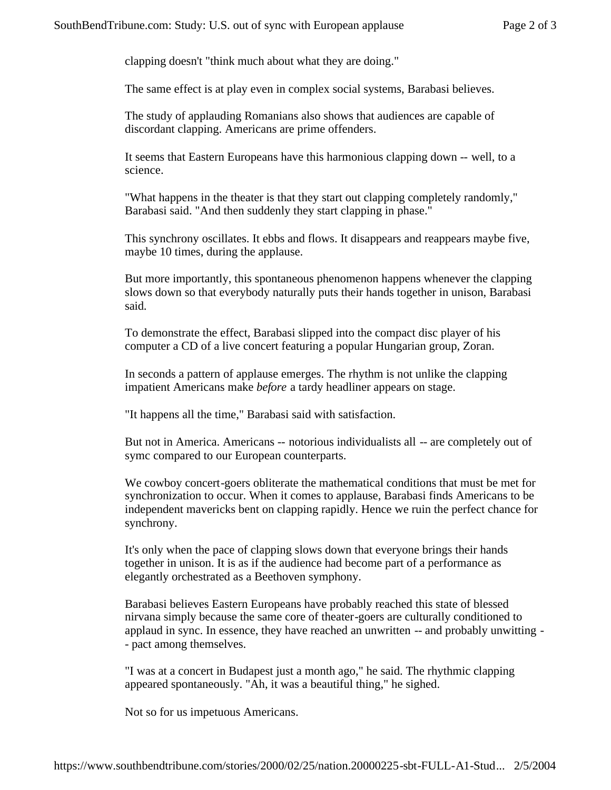clapping doesn't "think much about what they are doing."

The same effect is at play even in complex social systems, Barabasi believes.

The study of applauding Romanians also shows that audiences are capable of discordant clapping. Americans are prime offenders.

It seems that Eastern Europeans have this harmonious clapping down -- well, to a science.

"What happens in the theater is that they start out clapping completely randomly," Barabasi said. "And then suddenly they start clapping in phase."

This synchrony oscillates. It ebbs and flows. It disappears and reappears maybe five, maybe 10 times, during the applause.

But more importantly, this spontaneous phenomenon happens whenever the clapping slows down so that everybody naturally puts their hands together in unison, Barabasi said.

To demonstrate the effect, Barabasi slipped into the compact disc player of his computer a CD of a live concert featuring a popular Hungarian group, Zoran.

In seconds a pattern of applause emerges. The rhythm is not unlike the clapping impatient Americans make *before* a tardy headliner appears on stage.

"It happens all the time," Barabasi said with satisfaction.

But not in America. Americans -- notorious individualists all -- are completely out of symc compared to our European counterparts.

We cowboy concert-goers obliterate the mathematical conditions that must be met for synchronization to occur. When it comes to applause, Barabasi finds Americans to be independent mavericks bent on clapping rapidly. Hence we ruin the perfect chance for synchrony.

It's only when the pace of clapping slows down that everyone brings their hands together in unison. It is as if the audience had become part of a performance as elegantly orchestrated as a Beethoven symphony.

Barabasi believes Eastern Europeans have probably reached this state of blessed nirvana simply because the same core of theater-goers are culturally conditioned to applaud in sync. In essence, they have reached an unwritten -- and probably unwitting - - pact among themselves.

"I was at a concert in Budapest just a month ago," he said. The rhythmic clapping appeared spontaneously. "Ah, it was a beautiful thing," he sighed.

Not so for us impetuous Americans.